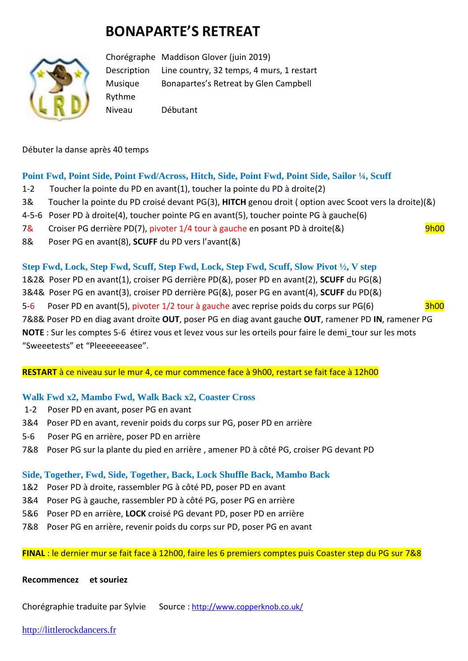# **BONAPARTE'S RETREAT**



Chorégraphe Maddison Glover (juin 2019) Description Line country, 32 temps, 4 murs, 1 restart Musique Bonapartes's Retreat by Glen Campbell Rythme Niveau Débutant

Débuter la danse après 40 temps

## **Point Fwd, Point Side, Point Fwd/Across, Hitch, Side, Point Fwd, Point Side, Sailor ¼, Scuff**

- 1-2 Toucher la pointe du PD en avant(1), toucher la pointe du PD à droite(2)
- 3& Toucher la pointe du PD croisé devant PG(3), **HITCH** genou droit ( option avec Scoot vers la droite)(&)
- 4-5-6 Poser PD à droite(4), toucher pointe PG en avant(5), toucher pointe PG à gauche(6)
- 7& Croiser PG derrière PD(7), pivoter 1/4 tour à gauche en posant PD à droite(&) 9h00
- 8& Poser PG en avant(8), **SCUFF** du PD vers l'avant(&)

### **Step Fwd, Lock, Step Fwd, Scuff, Step Fwd, Lock, Step Fwd, Scuff, Slow Pivot ½, V step**

1&2& Poser PD en avant(1), croiser PG derrière PD(&), poser PD en avant(2), **SCUFF** du PG(&) 3&4& Poser PG en avant(3), croiser PD derrière PG(&), poser PG en avant(4), **SCUFF** du PD(&) 5-6 Poser PD en avant(5), pivoter 1/2 tour à gauche avec reprise poids du corps sur PG(6) 3h00 7&8& Poser PD en diag avant droite **OUT**, poser PG en diag avant gauche **OUT**, ramener PD **IN**, ramener PG **NOTE** : Sur les comptes 5-6 étirez vous et levez vous sur les orteils pour faire le demi\_tour sur les mots "Sweeetests" et "Pleeeeeeasee".

**RESTART** à ce niveau sur le mur 4, ce mur commence face à 9h00, restart se fait face à 12h00

## **Walk Fwd x2, Mambo Fwd, Walk Back x2, Coaster Cross**

- 1-2 Poser PD en avant, poser PG en avant
- 3&4 Poser PD en avant, revenir poids du corps sur PG, poser PD en arrière
- 5-6 Poser PG en arrière, poser PD en arrière
- 7&8 Poser PG sur la plante du pied en arrière , amener PD à côté PG, croiser PG devant PD

#### **Side, Together, Fwd, Side, Together, Back, Lock Shuffle Back, Mambo Back**

- 1&2 Poser PD à droite, rassembler PG à côté PD, poser PD en avant
- 3&4 Poser PG à gauche, rassembler PD à côté PG, poser PG en arrière
- 5&6 Poser PD en arrière, **LOCK** croisé PG devant PD, poser PD en arrière
- 7&8 Poser PG en arrière, revenir poids du corps sur PD, poser PG en avant

#### **FINAL** : le dernier mur se fait face à 12h00, faire les 6 premiers comptes puis Coaster step du PG sur 7&8

#### **Recommencez et souriez**

Chorégraphie traduite par Sylvie Source : [http://www.copperknob.co.uk/](https://www.copperknob.co.uk/) 

[http://littlerockdancers.fr](http://littlerockdancers.fr/)